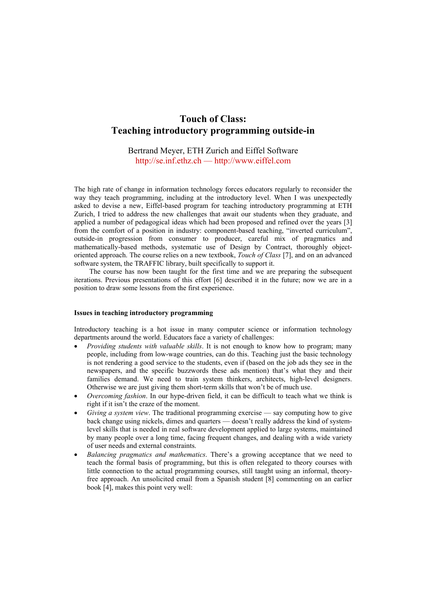# **Touch of Class: Teaching introductory programming outside-in**

## Bertrand Meyer, ETH Zurich and Eiffel Software http://se.inf.ethz.ch — http://www.eiffel.com

The high rate of change in information technology forces educators regularly to reconsider the way they teach programming, including at the introductory level. When I was unexpectedly asked to devise a new, Eiffel-based program for teaching introductory programming at ETH Zurich, I tried to address the new challenges that await our students when they graduate, and applied a number of pedagogical ideas which had been proposed and refined over the years [3] from the comfort of a position in industry: component-based teaching, "inverted curriculum", outside-in progression from consumer to producer, careful mix of pragmatics and mathematically-based methods, systematic use of Design by Contract, thoroughly objectoriented approach. The course relies on a new textbook, *Touch of Class* [7], and on an advanced software system, the TRAFFIC library, built specifically to support it.

The course has now been taught for the first time and we are preparing the subsequent iterations. Previous presentations of this effort [6] described it in the future; now we are in a position to draw some lessons from the first experience.

#### **Issues in teaching introductory programming**

Introductory teaching is a hot issue in many computer science or information technology departments around the world. Educators face a variety of challenges:

- *Providing students with valuable skills*. It is not enough to know how to program; many people, including from low-wage countries, can do this. Teaching just the basic technology is not rendering a good service to the students, even if (based on the job ads they see in the newspapers, and the specific buzzwords these ads mention) that's what they and their families demand. We need to train system thinkers, architects, high-level designers. Otherwise we are just giving them short-term skills that won't be of much use.
- *Overcoming fashion*. In our hype-driven field, it can be difficult to teach what we think is right if it isn't the craze of the moment.
- *Giving a system view*. The traditional programming exercise say computing how to give back change using nickels, dimes and quarters — doesn't really address the kind of systemlevel skills that is needed in real software development applied to large systems, maintained by many people over a long time, facing frequent changes, and dealing with a wide variety of user needs and external constraints.
- *Balancing pragmatics and mathematics*. There's a growing acceptance that we need to teach the formal basis of programming, but this is often relegated to theory courses with little connection to the actual programming courses, still taught using an informal, theoryfree approach. An unsolicited email from a Spanish student [8] commenting on an earlier book [4], makes this point very well: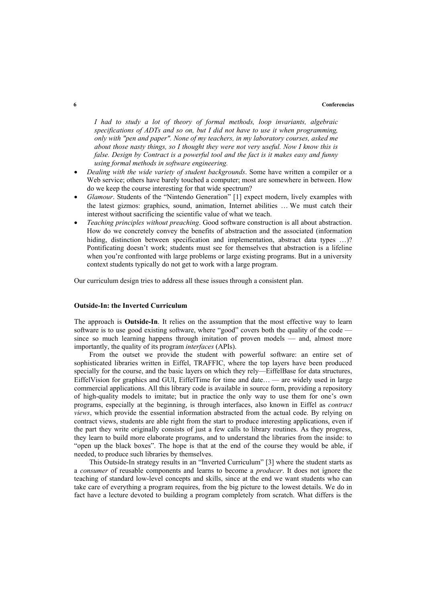#### **6 Conferencias**

*I had to study a lot of theory of formal methods, loop invariants, algebraic specifications of ADTs and so on, but I did not have to use it when programming, only with "pen and paper". None of my teachers, in my laboratory courses, asked me about those nasty things, so I thought they were not very useful. Now I know this is false. Design by Contract is a powerful tool and the fact is it makes easy and funny using formal methods in software engineering.* 

- *Dealing with the wide variety of student backgrounds*. Some have written a compiler or a Web service; others have barely touched a computer; most are somewhere in between. How do we keep the course interesting for that wide spectrum?
- *Glamour*. Students of the "Nintendo Generation" [1] expect modern, lively examples with the latest gizmos: graphics, sound, animation, Internet abilities … We must catch their interest without sacrificing the scientific value of what we teach.
- *Teaching principles without preaching*. Good software construction is all about abstraction. How do we concretely convey the benefits of abstraction and the associated (information hiding, distinction between specification and implementation, abstract data types ...)? Pontificating doesn't work; students must see for themselves that abstraction is a lifeline when you're confronted with large problems or large existing programs. But in a university context students typically do not get to work with a large program.

Our curriculum design tries to address all these issues through a consistent plan.

### **Outside-In: the Inverted Curriculum**

The approach is **Outside-In**. It relies on the assumption that the most effective way to learn software is to use good existing software, where "good" covers both the quality of the code since so much learning happens through imitation of proven models — and, almost more importantly, the quality of its program *interfaces* (APIs).

From the outset we provide the student with powerful software: an entire set of sophisticated libraries written in Eiffel, TRAFFIC, where the top layers have been produced specially for the course, and the basic layers on which they rely—EiffelBase for data structures, EiffelVision for graphics and GUI, EiffelTime for time and date… — are widely used in large commercial applications. All this library code is available in source form, providing a repository of high-quality models to imitate; but in practice the only way to use them for one's own programs, especially at the beginning, is through interfaces, also known in Eiffel as *contract views*, which provide the essential information abstracted from the actual code. By relying on contract views, students are able right from the start to produce interesting applications, even if the part they write originally consists of just a few calls to library routines. As they progress, they learn to build more elaborate programs, and to understand the libraries from the inside: to "open up the black boxes". The hope is that at the end of the course they would be able, if needed, to produce such libraries by themselves.

This Outside-In strategy results in an "Inverted Curriculum" [3] where the student starts as a *consumer* of reusable components and learns to become a *producer*. It does not ignore the teaching of standard low-level concepts and skills, since at the end we want students who can take care of everything a program requires, from the big picture to the lowest details. We do in fact have a lecture devoted to building a program completely from scratch. What differs is the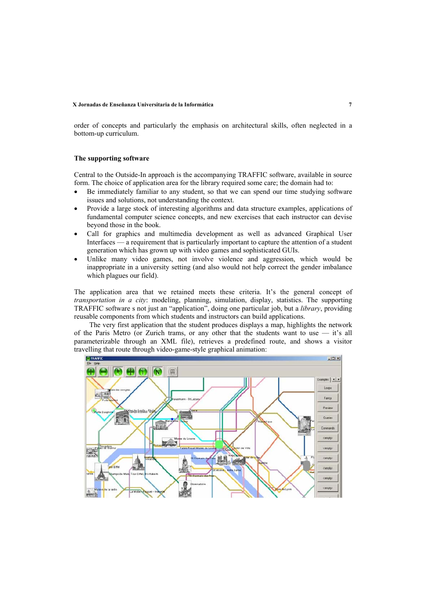#### **X Jornadas de Enseñanza Universitaria de la Informática 7**

order of concepts and particularly the emphasis on architectural skills, often neglected in a bottom-up curriculum.

#### **The supporting software**

Central to the Outside-In approach is the accompanying TRAFFIC software, available in source form. The choice of application area for the library required some care; the domain had to:

- Be immediately familiar to any student, so that we can spend our time studying software issues and solutions, not understanding the context.
- Provide a large stock of interesting algorithms and data structure examples, applications of fundamental computer science concepts, and new exercises that each instructor can devise beyond those in the book.
- Call for graphics and multimedia development as well as advanced Graphical User Interfaces — a requirement that is particularly important to capture the attention of a student generation which has grown up with video games and sophisticated GUIs.
- Unlike many video games, not involve violence and aggression, which would be inappropriate in a university setting (and also would not help correct the gender imbalance which plagues our field).

The application area that we retained meets these criteria. It's the general concept of *transportation in a city*: modeling, planning, simulation, display, statistics. The supporting TRAFFIC software s not just an "application", doing one particular job, but a *library*, providing reusable components from which students and instructors can build applications.

The very first application that the student produces displays a map, highlights the network of the Paris Metro (or Zurich trams, or any other that the students want to use — it's all parameterizable through an XML file), retrieves a predefined route, and shows a visitor travelling that route through video-game-style graphical animation:

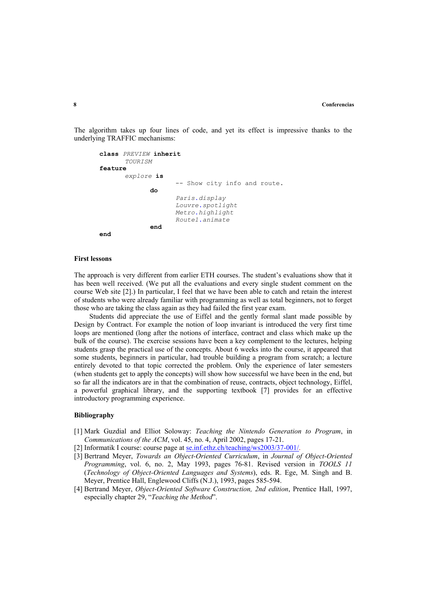The algorithm takes up four lines of code, and yet its effect is impressive thanks to the underlying TRAFFIC mechanisms:

```
class PREVIEW inherit 
       TOURISM 
feature 
       explore is 
                      -- Show city info and route. 
              do 
                      Paris.display 
                      Louvre.spotlight 
                      Metro.highlight 
                      Route1.animate 
              end 
end
```
#### **First lessons**

The approach is very different from earlier ETH courses. The student's evaluations show that it has been well received. (We put all the evaluations and every single student comment on the course Web site [2].) In particular, I feel that we have been able to catch and retain the interest of students who were already familiar with programming as well as total beginners, not to forget those who are taking the class again as they had failed the first year exam.

Students did appreciate the use of Eiffel and the gently formal slant made possible by Design by Contract. For example the notion of loop invariant is introduced the very first time loops are mentioned (long after the notions of interface, contract and class which make up the bulk of the course). The exercise sessions have been a key complement to the lectures, helping students grasp the practical use of the concepts. About 6 weeks into the course, it appeared that some students, beginners in particular, had trouble building a program from scratch; a lecture entirely devoted to that topic corrected the problem. Only the experience of later semesters (when students get to apply the concepts) will show how successful we have been in the end, but so far all the indicators are in that the combination of reuse, contracts, object technology, Eiffel, a powerful graphical library, and the supporting textbook [7] provides for an effective introductory programming experience.

#### **Bibliography**

- [1] Mark Guzdial and Elliot Soloway: *Teaching the Nintendo Generation to Program*, in *Communications of the ACM*, vol. 45, no. 4, April 2002, pages 17-21.
- [2] Informatik I course: course page at <u>se.inf.ethz.ch/teaching/ws2003/37-001/</u>.
- [3] Bertrand Meyer, *Towards an Object-Oriented Curriculum*, in *Journal of Object-Oriented Programming*, vol. 6, no. 2, May 1993, pages 76-81. Revised version in *TOOLS 11*  (*Technology of Object-Oriented Languages and Systems*), eds. R. Ege, M. Singh and B. Meyer, Prentice Hall, Englewood Cliffs (N.J.), 1993, pages 585-594.
- [4] Bertrand Meyer, *Object-Oriented Software Construction, 2nd edition*, Prentice Hall, 1997, especially chapter 29, "*Teaching the Method*".